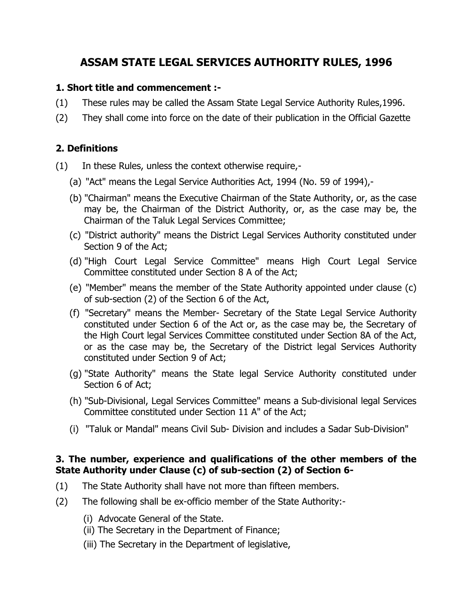# **ASSAM STATE LEGAL SERVICES AUTHORITY RULES, 1996**

### **1. Short title and commencement :-**

- (1) These rules may be called the Assam State Legal Service Authority Rules,1996.
- (2) They shall come into force on the date of their publication in the Official Gazette

# **2. Definitions**

- (1) In these Rules, unless the context otherwise require,-
	- (a) "Act" means the Legal Service Authorities Act, 1994 (No. 59 of 1994),-
	- (b) "Chairman" means the Executive Chairman of the State Authority, or, as the case may be, the Chairman of the District Authority, or, as the case may be, the Chairman of the Taluk Legal Services Committee;
	- (c) "District authority" means the District Legal Services Authority constituted under Section 9 of the Act;
	- (d) "High Court Legal Service Committee" means High Court Legal Service Committee constituted under Section 8 A of the Act;
	- (e) "Member" means the member of the State Authority appointed under clause (c) of sub-section (2) of the Section 6 of the Act,
	- (f) "Secretary" means the Member- Secretary of the State Legal Service Authority constituted under Section 6 of the Act or, as the case may be, the Secretary of the High Court legal Services Committee constituted under Section 8A of the Act, or as the case may be, the Secretary of the District legal Services Authority constituted under Section 9 of Act;
	- (g) "State Authority" means the State legal Service Authority constituted under Section 6 of Act;
	- (h) "Sub-Divisional, Legal Services Committee" means a Sub-divisional legal Services Committee constituted under Section 11 A" of the Act;
	- (i) "Taluk or Mandal" means Civil Sub- Division and includes a Sadar Sub-Division"

# **3. The number, experience and qualifications of the other members of the State Authority under Clause (c) of sub-section (2) of Section 6-**

- (1) The State Authority shall have not more than fifteen members.
- (2) The following shall be ex-officio member of the State Authority:-
	- (i) Advocate General of the State.
	- (ii) The Secretary in the Department of Finance;
	- (iii) The Secretary in the Department of legislative,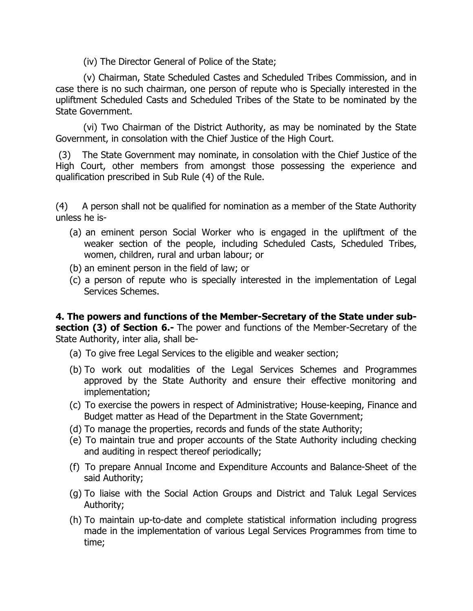(iv) The Director General of Police of the State;

(v) Chairman, State Scheduled Castes and Scheduled Tribes Commission, and in case there is no such chairman, one person of repute who is Specially interested in the upliftment Scheduled Casts and Scheduled Tribes of the State to be nominated by the State Government.

(vi) Two Chairman of the District Authority, as may be nominated by the State Government, in consolation with the Chief Justice of the High Court.

(3) The State Government may nominate, in consolation with the Chief Justice of the High Court, other members from amongst those possessing the experience and qualification prescribed in Sub Rule (4) of the Rule.

(4) A person shall not be qualified for nomination as a member of the State Authority unless he is-

- (a) an eminent person Social Worker who is engaged in the upliftment of the weaker section of the people, including Scheduled Casts, Scheduled Tribes, women, children, rural and urban labour; or
- (b) an eminent person in the field of law; or
- (c) a person of repute who is specially interested in the implementation of Legal Services Schemes.

**4. The powers and functions of the Member-Secretary of the State under subsection (3) of Section 6.-** The power and functions of the Member-Secretary of the State Authority, inter alia, shall be-

- (a) To give free Legal Services to the eligible and weaker section;
- (b) To work out modalities of the Legal Services Schemes and Programmes approved by the State Authority and ensure their effective monitoring and implementation;
- (c) To exercise the powers in respect of Administrative; House-keeping, Finance and Budget matter as Head of the Department in the State Government;
- (d) To manage the properties, records and funds of the state Authority;
- (e) To maintain true and proper accounts of the State Authority including checking and auditing in respect thereof periodically;
- (f) To prepare Annual Income and Expenditure Accounts and Balance-Sheet of the said Authority;
- (g) To liaise with the Social Action Groups and District and Taluk Legal Services Authority;
- (h) To maintain up-to-date and complete statistical information including progress made in the implementation of various Legal Services Programmes from time to time;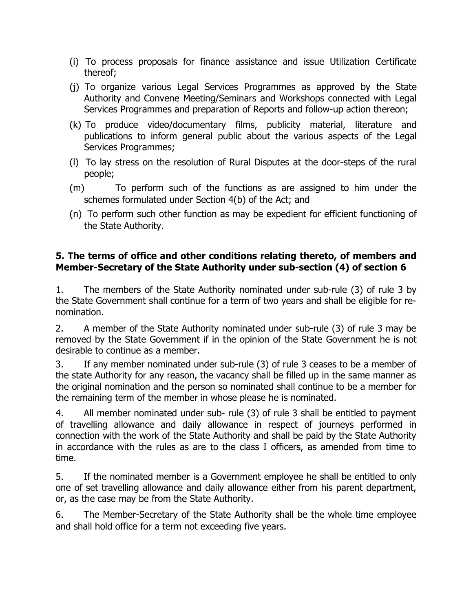- (i) To process proposals for finance assistance and issue Utilization Certificate thereof;
- (j) To organize various Legal Services Programmes as approved by the State Authority and Convene Meeting/Seminars and Workshops connected with Legal Services Programmes and preparation of Reports and follow-up action thereon;
- (k) To produce video/documentary films, publicity material, literature and publications to inform general public about the various aspects of the Legal Services Programmes;
- (l) To lay stress on the resolution of Rural Disputes at the door-steps of the rural people;
- (m) To perform such of the functions as are assigned to him under the schemes formulated under Section 4(b) of the Act; and
- (n) To perform such other function as may be expedient for efficient functioning of the State Authority.

# **5. The terms of office and other conditions relating thereto, of members and Member-Secretary of the State Authority under sub-section (4) of section 6**

1. The members of the State Authority nominated under sub-rule (3) of rule 3 by the State Government shall continue for a term of two years and shall be eligible for renomination.

2. A member of the State Authority nominated under sub-rule (3) of rule 3 may be removed by the State Government if in the opinion of the State Government he is not desirable to continue as a member.

3. If any member nominated under sub-rule (3) of rule 3 ceases to be a member of the state Authority for any reason, the vacancy shall be filled up in the same manner as the original nomination and the person so nominated shall continue to be a member for the remaining term of the member in whose please he is nominated.

4. All member nominated under sub- rule (3) of rule 3 shall be entitled to payment of travelling allowance and daily allowance in respect of journeys performed in connection with the work of the State Authority and shall be paid by the State Authority in accordance with the rules as are to the class I officers, as amended from time to time.

5. If the nominated member is a Government employee he shall be entitled to only one of set travelling allowance and daily allowance either from his parent department, or, as the case may be from the State Authority.

6. The Member-Secretary of the State Authority shall be the whole time employee and shall hold office for a term not exceeding five years.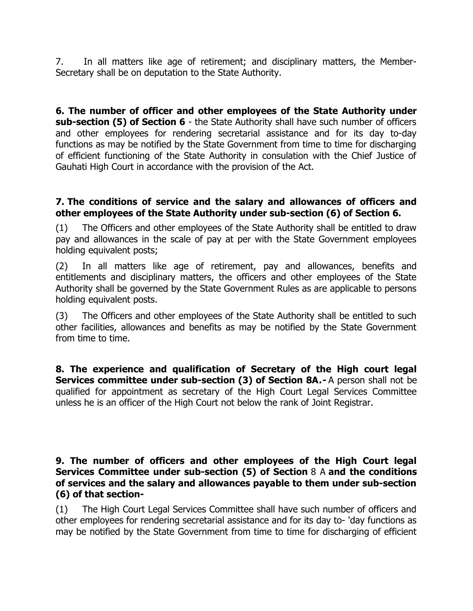7. In all matters like age of retirement; and disciplinary matters, the Member-Secretary shall be on deputation to the State Authority.

**6. The number of officer and other employees of the State Authority under sub-section (5) of Section 6** - the State Authority shall have such number of officers and other employees for rendering secretarial assistance and for its day to-day functions as may be notified by the State Government from time to time for discharging of efficient functioning of the State Authority in consulation with the Chief Justice of Gauhati High Court in accordance with the provision of the Act.

#### **7. The conditions of service and the salary and allowances of officers and other employees of the State Authority under sub-section (6) of Section 6.**

(1) The Officers and other employees of the State Authority shall be entitled to draw pay and allowances in the scale of pay at per with the State Government employees holding equivalent posts;

(2) In all matters like age of retirement, pay and allowances, benefits and entitlements and disciplinary matters, the officers and other employees of the State Authority shall be governed by the State Government Rules as are applicable to persons holding equivalent posts.

(3) The Officers and other employees of the State Authority shall be entitled to such other facilities, allowances and benefits as may be notified by the State Government from time to time.

**8. The experience and qualification of Secretary of the High court legal Services committee under sub-section (3) of Section 8A.-** A person shall not be qualified for appointment as secretary of the High Court Legal Services Committee unless he is an officer of the High Court not below the rank of Joint Registrar.

#### **9. The number of officers and other employees of the High Court legal Services Committee under sub-section (5) of Section** 8 A **and the conditions of services and the salary and allowances payable to them under sub-section (6) of that section-**

(1) The High Court Legal Services Committee shall have such number of officers and other employees for rendering secretarial assistance and for its day to- 'day functions as may be notified by the State Government from time to time for discharging of efficient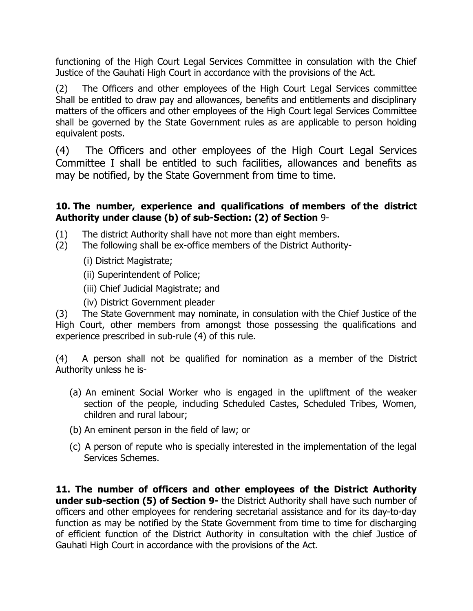functioning of the High Court Legal Services Committee in consulation with the Chief Justice of the Gauhati High Court in accordance with the provisions of the Act.

(2) The Officers and other employees of the High Court Legal Services committee Shall be entitled to draw pay and allowances, benefits and entitlements and disciplinary matters of the officers and other employees of the High Court legal Services Committee shall be governed by the State Government rules as are applicable to person holding equivalent posts.

(4) The Officers and other employees of the High Court Legal Services Committee I shall be entitled to such facilities, allowances and benefits as may be notified, by the State Government from time to time.

## **10. The number, experience and qualifications of members of the district Authority under clause (b) of sub-Section: (2) of Section** 9-

- (1) The district Authority shall have not more than eight members.
- (2) The following shall be ex-office members of the District Authority-
	- (i) District Magistrate;
	- (ii) Superintendent of Police;
	- (iii) Chief Judicial Magistrate; and
	- (iv) District Government pleader

(3) The State Government may nominate, in consulation with the Chief Justice of the High Court, other members from amongst those possessing the qualifications and experience prescribed in sub-rule (4) of this rule.

(4) A person shall not be qualified for nomination as a member of the District Authority unless he is-

- (a) An eminent Social Worker who is engaged in the upliftment of the weaker section of the people, including Scheduled Castes, Scheduled Tribes, Women, children and rural labour;
- (b) An eminent person in the field of law; or
- (c) A person of repute who is specially interested in the implementation of the legal Services Schemes.

**11. The number of officers and other employees of the District Authority under sub-section (5) of Section 9-** the District Authority shall have such number of officers and other employees for rendering secretarial assistance and for its day-to-day function as may be notified by the State Government from time to time for discharging of efficient function of the District Authority in consultation with the chief Justice of Gauhati High Court in accordance with the provisions of the Act.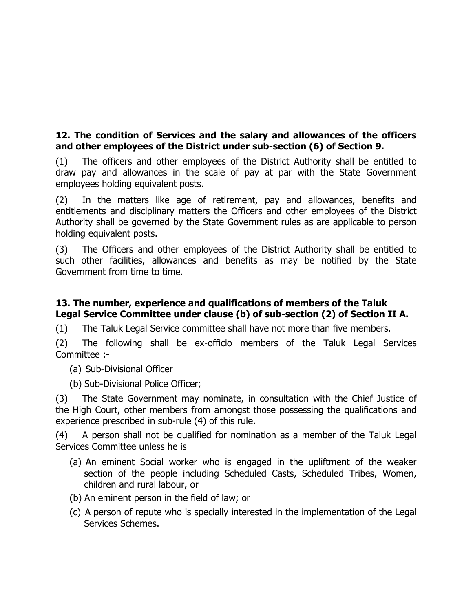## **12. The condition of Services and the salary and allowances of the officers and other employees of the District under sub-section (6) of Section 9.**

(1) The officers and other employees of the District Authority shall be entitled to draw pay and allowances in the scale of pay at par with the State Government employees holding equivalent posts.

(2) In the matters like age of retirement, pay and allowances, benefits and entitlements and disciplinary matters the Officers and other employees of the District Authority shall be governed by the State Government rules as are applicable to person holding equivalent posts.

(3) The Officers and other employees of the District Authority shall be entitled to such other facilities, allowances and benefits as may be notified by the State Government from time to time.

### **13. The number, experience and qualifications of members of the Taluk Legal Service Committee under clause (b) of sub-section (2) of Section II A.**

(1) The Taluk Legal Service committee shall have not more than five members.

(2) The following shall be ex-officio members of the Taluk Legal Services Committee :-

(a) Sub-Divisional Officer

(b) Sub-Divisional Police Officer;

(3) The State Government may nominate, in consultation with the Chief Justice of the High Court, other members from amongst those possessing the qualifications and experience prescribed in sub-rule (4) of this rule.

(4) A person shall not be qualified for nomination as a member of the Taluk Legal Services Committee unless he is

- (a) An eminent Social worker who is engaged in the upliftment of the weaker section of the people including Scheduled Casts, Scheduled Tribes, Women, children and rural labour, or
- (b) An eminent person in the field of law; or
- (c) A person of repute who is specially interested in the implementation of the Legal Services Schemes.